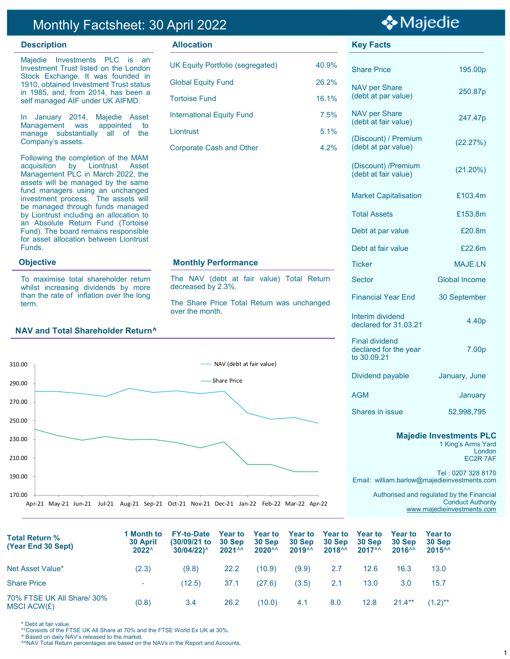## Monthly Factsheet: 30 April 2022

Majedie Investments PLC is an Investment Trust listed on the London Stock Exchange. It was founded in 1910, obtained Investment Trust status in 1985, and, from 2014, has been a self managed AIF under UK AIFMD.

In January 2014, Majedie Asset Management was appointed to manage substantially all of the Company's assets.

Following the completion of the MAM acquisition by Liontrust Asset Management PLC in March 2022, the assets will be managed by the same fund managers using an unchanged investment process. The assets will be managed through funds managed by Liontrust including an allocation to an Absolute Return Fund (Tortoise Fund). The board remains responsible for asset allocation between Liontrust Funds.

#### **Objective**

To maximise total shareholder return whilst increasing dividends by more than the rate of inflation over the long term.

## **NAV and Total Shareholder Return^**



### **Description CONSIDER ALLOCATION Allocation CONSIDER ALLOCATION CONSIDER ALLOCATION CONSIDER ALLOCATION**

| <b>UK Equity Portfolio (segregated)</b> | 40.9% |
|-----------------------------------------|-------|
| <b>Global Equity Fund</b>               | 26.2% |
| <b>Tortoise Fund</b>                    | 16.1% |
| <b>International Equity Fund</b>        | 7.5%  |
| Liontrust                               | 5.1%  |
| <b>Corporate Cash and Other</b>         | 4.2%  |

#### **Monthly Performance**

The NAV (debt at fair value) Total Return decreased by 2.3%.

The Share Price Total Return was unchanged over the month.



Shares in issue 52,998,795

#### **Majedie Investments PLC**

1 King's Arms Yard London EC2R 7AF

Tel : 0207 328 8170 Email: william.barlow@majedieinvestments.com

> Authorised and regulated by the Financial Conduct Authority [www.majedieinvestments.com](http://www.majedie.co.uk)

| Total Return %<br>(Year End 30 Sept)      | 1 Month to<br><b>30 April</b><br>$2022^{\wedge}$ | <b>FY-to-Date</b><br>$(30/09/21)$ to<br>$30/04/22$ <sup><math>\wedge</math></sup> | <b>Year to</b><br>30 Sep<br>$2021^{^}$ | <b>Year to</b><br>30 Sep<br>$2020^{\wedge\wedge}$ | <b>Year to</b><br>30 Sep<br>2019 <sup>AA</sup> | <b>Year to</b><br>30 Sep<br>$2018^{\wedge\wedge}$ | <b>Year to</b><br>30 Sep<br>$2017^{\wedge\wedge}$ | <b>Year to</b><br>30 Sep<br>2016 <sup>AA</sup> | <b>Year to</b><br>30 Sep<br>$2015^{\wedge\wedge}$ |  |
|-------------------------------------------|--------------------------------------------------|-----------------------------------------------------------------------------------|----------------------------------------|---------------------------------------------------|------------------------------------------------|---------------------------------------------------|---------------------------------------------------|------------------------------------------------|---------------------------------------------------|--|
| Net Asset Value*                          | (2.3)                                            | (9.8)                                                                             | 22.2                                   | (10.9)                                            | (9.9)                                          | 2.7                                               | 12.6                                              | 16.3                                           | 13.0                                              |  |
| <b>Share Price</b>                        | ÷.                                               | (12.5)                                                                            | 37.1                                   | (27.6)                                            | (3.5)                                          | 2.1                                               | 13.0                                              | 3.0                                            | 15.7                                              |  |
| 70% FTSE UK All Share/ 30%<br>MSCI ACW(£) | (0.8)                                            | 3.4                                                                               | 26.2                                   | (10.0)                                            | 4.1                                            | 8.0                                               | 12.8                                              | $21.4***$                                      | $(1.2)$ **                                        |  |

\* Debt at fair value.

\*\*Consists of the FTSE UK All Share at 70% and the FTSE World Ex UK at 30%.

^ Based on daily NAV's released to the market.

^^NAV Total Return percentages are based on the NAVs in the Report and Accounts.

# ❖ Majedie

Share Price 195.00p

(debt at par value) 250.87p

(debt at fair value) 247.47p

 $(\text{distout})$  at par value)  $(22.27%)$ 

 $(\text{debt at fair value})$  (21.20%)

Market Capitalisation **£103.4m** 

Total Assets £153.8m

Debt at par value **E20.8m** 

Debt at fair value **E22.6m** 

NAV per Share

NAV per Share

(Discount) / Premium

(Discount) /Premium